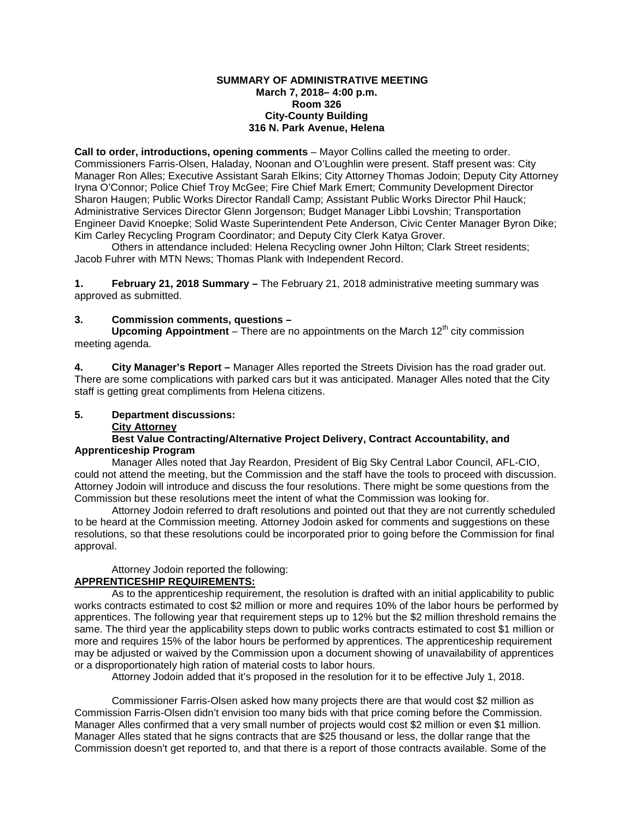#### **SUMMARY OF ADMINISTRATIVE MEETING March 7, 2018– 4:00 p.m. Room 326 City-County Building 316 N. Park Avenue, Helena**

**Call to order, introductions, opening comments** – Mayor Collins called the meeting to order. Commissioners Farris-Olsen, Haladay, Noonan and O'Loughlin were present. Staff present was: City Manager Ron Alles; Executive Assistant Sarah Elkins; City Attorney Thomas Jodoin; Deputy City Attorney Iryna O'Connor; Police Chief Troy McGee; Fire Chief Mark Emert; Community Development Director Sharon Haugen; Public Works Director Randall Camp; Assistant Public Works Director Phil Hauck; Administrative Services Director Glenn Jorgenson; Budget Manager Libbi Lovshin; Transportation Engineer David Knoepke; Solid Waste Superintendent Pete Anderson, Civic Center Manager Byron Dike; Kim Carley Recycling Program Coordinator; and Deputy City Clerk Katya Grover.

Others in attendance included: Helena Recycling owner John Hilton; Clark Street residents; Jacob Fuhrer with MTN News; Thomas Plank with Independent Record.

**1. February 21, 2018 Summary –** The February 21, 2018 administrative meeting summary was approved as submitted.

## **3. Commission comments, questions –**

Upcoming Appointment – There are no appointments on the March 12<sup>th</sup> city commission meeting agenda.

**4. City Manager's Report –** Manager Alles reported the Streets Division has the road grader out. There are some complications with parked cars but it was anticipated. Manager Alles noted that the City staff is getting great compliments from Helena citizens.

### **5. Department discussions:**

### **City Attorney**

## **Best Value Contracting/Alternative Project Delivery, Contract Accountability, and Apprenticeship Program**

Manager Alles noted that Jay Reardon, President of Big Sky Central Labor Council, AFL-CIO, could not attend the meeting, but the Commission and the staff have the tools to proceed with discussion. Attorney Jodoin will introduce and discuss the four resolutions. There might be some questions from the Commission but these resolutions meet the intent of what the Commission was looking for.

Attorney Jodoin referred to draft resolutions and pointed out that they are not currently scheduled to be heard at the Commission meeting. Attorney Jodoin asked for comments and suggestions on these resolutions, so that these resolutions could be incorporated prior to going before the Commission for final approval.

### Attorney Jodoin reported the following:

# **APPRENTICESHIP REQUIREMENTS:**

As to the apprenticeship requirement, the resolution is drafted with an initial applicability to public works contracts estimated to cost \$2 million or more and requires 10% of the labor hours be performed by apprentices. The following year that requirement steps up to 12% but the \$2 million threshold remains the same. The third year the applicability steps down to public works contracts estimated to cost \$1 million or more and requires 15% of the labor hours be performed by apprentices. The apprenticeship requirement may be adjusted or waived by the Commission upon a document showing of unavailability of apprentices or a disproportionately high ration of material costs to labor hours.

Attorney Jodoin added that it's proposed in the resolution for it to be effective July 1, 2018.

Commissioner Farris-Olsen asked how many projects there are that would cost \$2 million as Commission Farris-Olsen didn't envision too many bids with that price coming before the Commission. Manager Alles confirmed that a very small number of projects would cost \$2 million or even \$1 million. Manager Alles stated that he signs contracts that are \$25 thousand or less, the dollar range that the Commission doesn't get reported to, and that there is a report of those contracts available. Some of the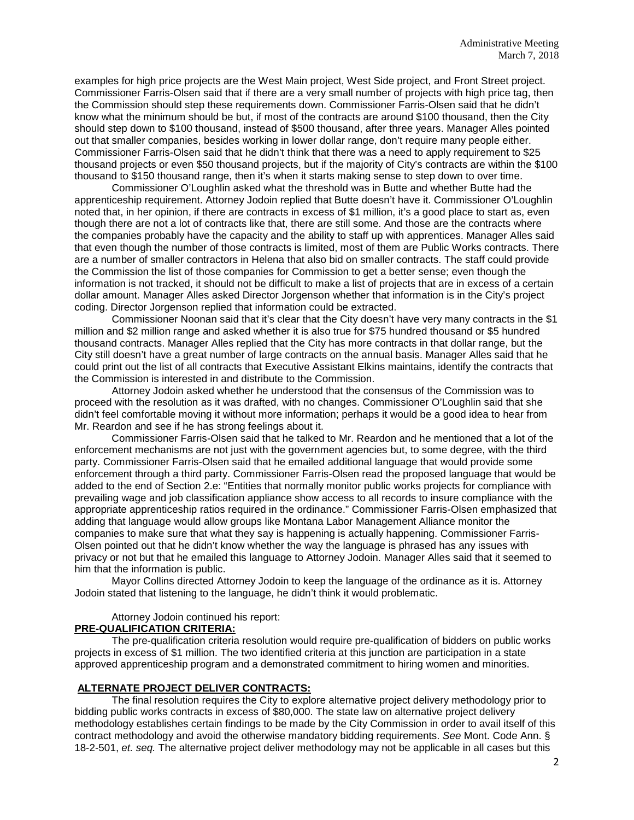examples for high price projects are the West Main project, West Side project, and Front Street project. Commissioner Farris-Olsen said that if there are a very small number of projects with high price tag, then the Commission should step these requirements down. Commissioner Farris-Olsen said that he didn't know what the minimum should be but, if most of the contracts are around \$100 thousand, then the City should step down to \$100 thousand, instead of \$500 thousand, after three years. Manager Alles pointed out that smaller companies, besides working in lower dollar range, don't require many people either. Commissioner Farris-Olsen said that he didn't think that there was a need to apply requirement to \$25 thousand projects or even \$50 thousand projects, but if the majority of City's contracts are within the \$100 thousand to \$150 thousand range, then it's when it starts making sense to step down to over time.

Commissioner O'Loughlin asked what the threshold was in Butte and whether Butte had the apprenticeship requirement. Attorney Jodoin replied that Butte doesn't have it. Commissioner O'Loughlin noted that, in her opinion, if there are contracts in excess of \$1 million, it's a good place to start as, even though there are not a lot of contracts like that, there are still some. And those are the contracts where the companies probably have the capacity and the ability to staff up with apprentices. Manager Alles said that even though the number of those contracts is limited, most of them are Public Works contracts. There are a number of smaller contractors in Helena that also bid on smaller contracts. The staff could provide the Commission the list of those companies for Commission to get a better sense; even though the information is not tracked, it should not be difficult to make a list of projects that are in excess of a certain dollar amount. Manager Alles asked Director Jorgenson whether that information is in the City's project coding. Director Jorgenson replied that information could be extracted.

Commissioner Noonan said that it's clear that the City doesn't have very many contracts in the \$1 million and \$2 million range and asked whether it is also true for \$75 hundred thousand or \$5 hundred thousand contracts. Manager Alles replied that the City has more contracts in that dollar range, but the City still doesn't have a great number of large contracts on the annual basis. Manager Alles said that he could print out the list of all contracts that Executive Assistant Elkins maintains, identify the contracts that the Commission is interested in and distribute to the Commission.

Attorney Jodoin asked whether he understood that the consensus of the Commission was to proceed with the resolution as it was drafted, with no changes. Commissioner O'Loughlin said that she didn't feel comfortable moving it without more information; perhaps it would be a good idea to hear from Mr. Reardon and see if he has strong feelings about it.

Commissioner Farris-Olsen said that he talked to Mr. Reardon and he mentioned that a lot of the enforcement mechanisms are not just with the government agencies but, to some degree, with the third party. Commissioner Farris-Olsen said that he emailed additional language that would provide some enforcement through a third party. Commissioner Farris-Olsen read the proposed language that would be added to the end of Section 2.e: "Entities that normally monitor public works projects for compliance with prevailing wage and job classification appliance show access to all records to insure compliance with the appropriate apprenticeship ratios required in the ordinance." Commissioner Farris-Olsen emphasized that adding that language would allow groups like Montana Labor Management Alliance monitor the companies to make sure that what they say is happening is actually happening. Commissioner Farris-Olsen pointed out that he didn't know whether the way the language is phrased has any issues with privacy or not but that he emailed this language to Attorney Jodoin. Manager Alles said that it seemed to him that the information is public.

Mayor Collins directed Attorney Jodoin to keep the language of the ordinance as it is. Attorney Jodoin stated that listening to the language, he didn't think it would problematic.

Attorney Jodoin continued his report:

### **PRE-QUALIFICATION CRITERIA:**

The pre-qualification criteria resolution would require pre-qualification of bidders on public works projects in excess of \$1 million. The two identified criteria at this junction are participation in a state approved apprenticeship program and a demonstrated commitment to hiring women and minorities.

# **ALTERNATE PROJECT DELIVER CONTRACTS:**

The final resolution requires the City to explore alternative project delivery methodology prior to bidding public works contracts in excess of \$80,000. The state law on alternative project delivery methodology establishes certain findings to be made by the City Commission in order to avail itself of this contract methodology and avoid the otherwise mandatory bidding requirements. *See* Mont. Code Ann. § 18-2-501, *et. seq.* The alternative project deliver methodology may not be applicable in all cases but this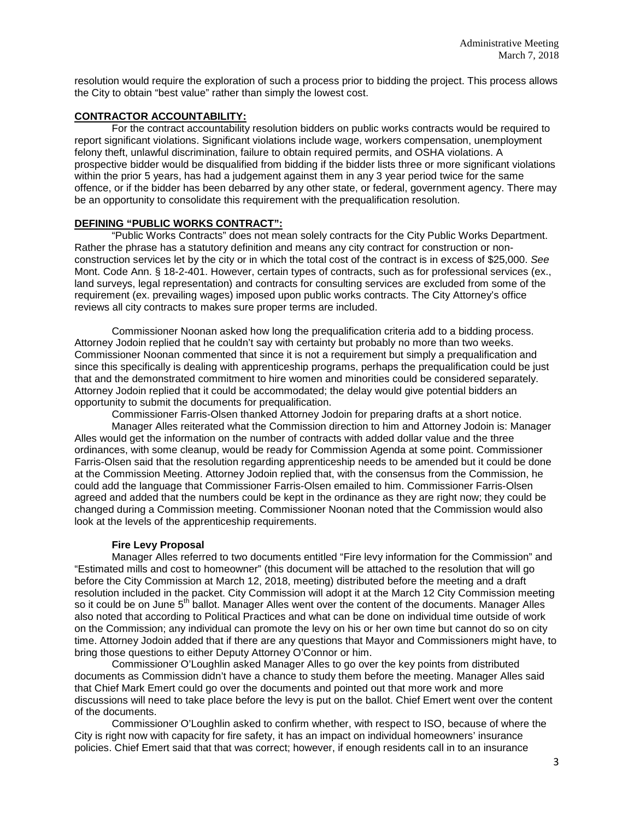resolution would require the exploration of such a process prior to bidding the project. This process allows the City to obtain "best value" rather than simply the lowest cost.

## **CONTRACTOR ACCOUNTABILITY:**

For the contract accountability resolution bidders on public works contracts would be required to report significant violations. Significant violations include wage, workers compensation, unemployment felony theft, unlawful discrimination, failure to obtain required permits, and OSHA violations. A prospective bidder would be disqualified from bidding if the bidder lists three or more significant violations within the prior 5 years, has had a judgement against them in any 3 year period twice for the same offence, or if the bidder has been debarred by any other state, or federal, government agency. There may be an opportunity to consolidate this requirement with the prequalification resolution.

## **DEFINING "PUBLIC WORKS CONTRACT":**

"Public Works Contracts" does not mean solely contracts for the City Public Works Department. Rather the phrase has a statutory definition and means any city contract for construction or nonconstruction services let by the city or in which the total cost of the contract is in excess of \$25,000. *See*  Mont. Code Ann. § 18-2-401. However, certain types of contracts, such as for professional services (ex., land surveys, legal representation) and contracts for consulting services are excluded from some of the requirement (ex. prevailing wages) imposed upon public works contracts. The City Attorney's office reviews all city contracts to makes sure proper terms are included.

Commissioner Noonan asked how long the prequalification criteria add to a bidding process. Attorney Jodoin replied that he couldn't say with certainty but probably no more than two weeks. Commissioner Noonan commented that since it is not a requirement but simply a prequalification and since this specifically is dealing with apprenticeship programs, perhaps the prequalification could be just that and the demonstrated commitment to hire women and minorities could be considered separately. Attorney Jodoin replied that it could be accommodated; the delay would give potential bidders an opportunity to submit the documents for prequalification.

Commissioner Farris-Olsen thanked Attorney Jodoin for preparing drafts at a short notice.

Manager Alles reiterated what the Commission direction to him and Attorney Jodoin is: Manager Alles would get the information on the number of contracts with added dollar value and the three ordinances, with some cleanup, would be ready for Commission Agenda at some point. Commissioner Farris-Olsen said that the resolution regarding apprenticeship needs to be amended but it could be done at the Commission Meeting. Attorney Jodoin replied that, with the consensus from the Commission, he could add the language that Commissioner Farris-Olsen emailed to him. Commissioner Farris-Olsen agreed and added that the numbers could be kept in the ordinance as they are right now; they could be changed during a Commission meeting. Commissioner Noonan noted that the Commission would also look at the levels of the apprenticeship requirements.

### **Fire Levy Proposal**

Manager Alles referred to two documents entitled "Fire levy information for the Commission" and "Estimated mills and cost to homeowner" (this document will be attached to the resolution that will go before the City Commission at March 12, 2018, meeting) distributed before the meeting and a draft resolution included in the packet. City Commission will adopt it at the March 12 City Commission meeting so it could be on June 5<sup>th</sup> ballot. Manager Alles went over the content of the documents. Manager Alles also noted that according to Political Practices and what can be done on individual time outside of work on the Commission; any individual can promote the levy on his or her own time but cannot do so on city time. Attorney Jodoin added that if there are any questions that Mayor and Commissioners might have, to bring those questions to either Deputy Attorney O'Connor or him.

Commissioner O'Loughlin asked Manager Alles to go over the key points from distributed documents as Commission didn't have a chance to study them before the meeting. Manager Alles said that Chief Mark Emert could go over the documents and pointed out that more work and more discussions will need to take place before the levy is put on the ballot. Chief Emert went over the content of the documents.

Commissioner O'Loughlin asked to confirm whether, with respect to ISO, because of where the City is right now with capacity for fire safety, it has an impact on individual homeowners' insurance policies. Chief Emert said that that was correct; however, if enough residents call in to an insurance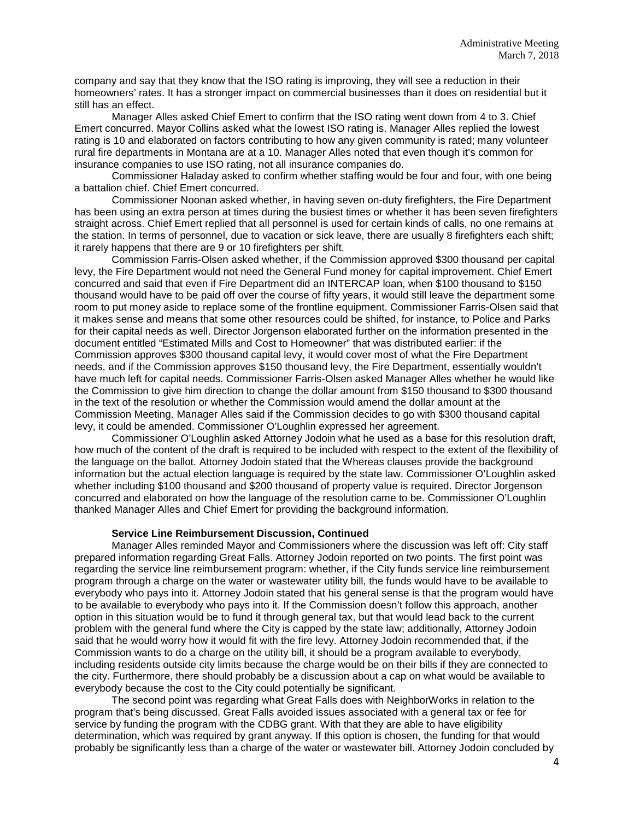company and say that they know that the ISO rating is improving, they will see a reduction in their homeowners' rates. It has a stronger impact on commercial businesses than it does on residential but it still has an effect.

Manager Alles asked Chief Emert to confirm that the ISO rating went down from 4 to 3. Chief Emert concurred. Mayor Collins asked what the lowest ISO rating is. Manager Alles replied the lowest rating is 10 and elaborated on factors contributing to how any given community is rated; many volunteer rural fire departments in Montana are at a 10. Manager Alles noted that even though it's common for insurance companies to use ISO rating, not all insurance companies do.

Commissioner Haladay asked to confirm whether staffing would be four and four, with one being a battalion chief. Chief Emert concurred.

Commissioner Noonan asked whether, in having seven on-duty firefighters, the Fire Department has been using an extra person at times during the busiest times or whether it has been seven firefighters straight across. Chief Emert replied that all personnel is used for certain kinds of calls, no one remains at the station. In terms of personnel, due to vacation or sick leave, there are usually 8 firefighters each shift; it rarely happens that there are 9 or 10 firefighters per shift.

Commission Farris-Olsen asked whether, if the Commission approved \$300 thousand per capital levy, the Fire Department would not need the General Fund money for capital improvement. Chief Emert concurred and said that even if Fire Department did an INTERCAP loan, when \$100 thousand to \$150 thousand would have to be paid off over the course of fifty years, it would still leave the department some room to put money aside to replace some of the frontline equipment. Commissioner Farris-Olsen said that it makes sense and means that some other resources could be shifted, for instance, to Police and Parks for their capital needs as well. Director Jorgenson elaborated further on the information presented in the document entitled "Estimated Mills and Cost to Homeowner" that was distributed earlier: if the Commission approves \$300 thousand capital levy, it would cover most of what the Fire Department needs, and if the Commission approves \$150 thousand levy, the Fire Department, essentially wouldn't have much left for capital needs. Commissioner Farris-Olsen asked Manager Alles whether he would like the Commission to give him direction to change the dollar amount from \$150 thousand to \$300 thousand in the text of the resolution or whether the Commission would amend the dollar amount at the Commission Meeting. Manager Alles said if the Commission decides to go with \$300 thousand capital levy, it could be amended. Commissioner O'Loughlin expressed her agreement.

Commissioner O'Loughlin asked Attorney Jodoin what he used as a base for this resolution draft, how much of the content of the draft is required to be included with respect to the extent of the flexibility of the language on the ballot. Attorney Jodoin stated that the Whereas clauses provide the background information but the actual election language is required by the state law. Commissioner O'Loughlin asked whether including \$100 thousand and \$200 thousand of property value is required. Director Jorgenson concurred and elaborated on how the language of the resolution came to be. Commissioner O'Loughlin thanked Manager Alles and Chief Emert for providing the background information.

### **Service Line Reimbursement Discussion, Continued**

Manager Alles reminded Mayor and Commissioners where the discussion was left off: City staff prepared information regarding Great Falls. Attorney Jodoin reported on two points. The first point was regarding the service line reimbursement program: whether, if the City funds service line reimbursement program through a charge on the water or wastewater utility bill, the funds would have to be available to everybody who pays into it. Attorney Jodoin stated that his general sense is that the program would have to be available to everybody who pays into it. If the Commission doesn't follow this approach, another option in this situation would be to fund it through general tax, but that would lead back to the current problem with the general fund where the City is capped by the state law; additionally, Attorney Jodoin said that he would worry how it would fit with the fire levy. Attorney Jodoin recommended that, if the Commission wants to do a charge on the utility bill, it should be a program available to everybody, including residents outside city limits because the charge would be on their bills if they are connected to the city. Furthermore, there should probably be a discussion about a cap on what would be available to everybody because the cost to the City could potentially be significant.

The second point was regarding what Great Falls does with NeighborWorks in relation to the program that's being discussed. Great Falls avoided issues associated with a general tax or fee for service by funding the program with the CDBG grant. With that they are able to have eligibility determination, which was required by grant anyway. If this option is chosen, the funding for that would probably be significantly less than a charge of the water or wastewater bill. Attorney Jodoin concluded by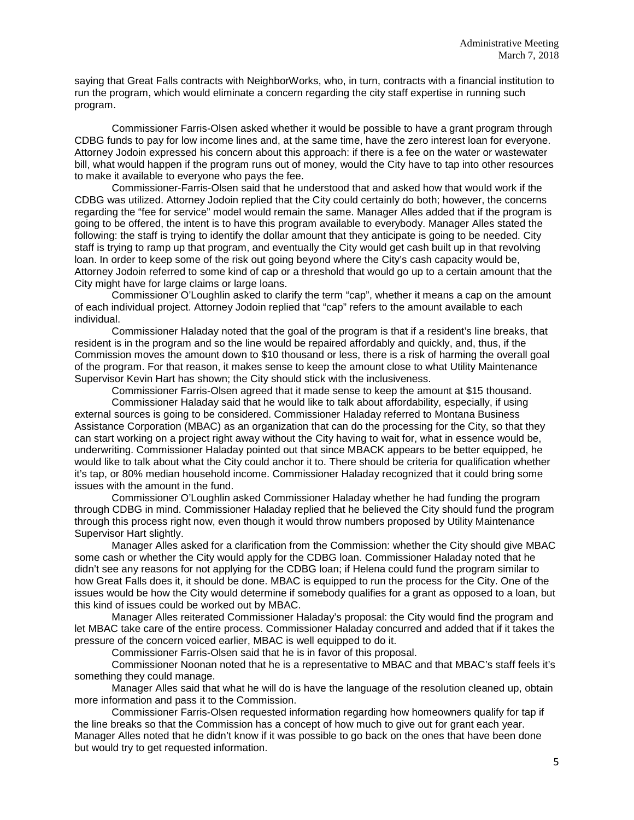saying that Great Falls contracts with NeighborWorks, who, in turn, contracts with a financial institution to run the program, which would eliminate a concern regarding the city staff expertise in running such program.

Commissioner Farris-Olsen asked whether it would be possible to have a grant program through CDBG funds to pay for low income lines and, at the same time, have the zero interest loan for everyone. Attorney Jodoin expressed his concern about this approach: if there is a fee on the water or wastewater bill, what would happen if the program runs out of money, would the City have to tap into other resources to make it available to everyone who pays the fee.

Commissioner-Farris-Olsen said that he understood that and asked how that would work if the CDBG was utilized. Attorney Jodoin replied that the City could certainly do both; however, the concerns regarding the "fee for service" model would remain the same. Manager Alles added that if the program is going to be offered, the intent is to have this program available to everybody. Manager Alles stated the following: the staff is trying to identify the dollar amount that they anticipate is going to be needed. City staff is trying to ramp up that program, and eventually the City would get cash built up in that revolving loan. In order to keep some of the risk out going beyond where the City's cash capacity would be, Attorney Jodoin referred to some kind of cap or a threshold that would go up to a certain amount that the City might have for large claims or large loans.

Commissioner O'Loughlin asked to clarify the term "cap", whether it means a cap on the amount of each individual project. Attorney Jodoin replied that "cap" refers to the amount available to each individual.

Commissioner Haladay noted that the goal of the program is that if a resident's line breaks, that resident is in the program and so the line would be repaired affordably and quickly, and, thus, if the Commission moves the amount down to \$10 thousand or less, there is a risk of harming the overall goal of the program. For that reason, it makes sense to keep the amount close to what Utility Maintenance Supervisor Kevin Hart has shown; the City should stick with the inclusiveness.

Commissioner Farris-Olsen agreed that it made sense to keep the amount at \$15 thousand.

Commissioner Haladay said that he would like to talk about affordability, especially, if using external sources is going to be considered. Commissioner Haladay referred to Montana Business Assistance Corporation (MBAC) as an organization that can do the processing for the City, so that they can start working on a project right away without the City having to wait for, what in essence would be, underwriting. Commissioner Haladay pointed out that since MBACK appears to be better equipped, he would like to talk about what the City could anchor it to. There should be criteria for qualification whether it's tap, or 80% median household income. Commissioner Haladay recognized that it could bring some issues with the amount in the fund.

Commissioner O'Loughlin asked Commissioner Haladay whether he had funding the program through CDBG in mind. Commissioner Haladay replied that he believed the City should fund the program through this process right now, even though it would throw numbers proposed by Utility Maintenance Supervisor Hart slightly.

Manager Alles asked for a clarification from the Commission: whether the City should give MBAC some cash or whether the City would apply for the CDBG loan. Commissioner Haladay noted that he didn't see any reasons for not applying for the CDBG loan; if Helena could fund the program similar to how Great Falls does it, it should be done. MBAC is equipped to run the process for the City. One of the issues would be how the City would determine if somebody qualifies for a grant as opposed to a loan, but this kind of issues could be worked out by MBAC.

Manager Alles reiterated Commissioner Haladay's proposal: the City would find the program and let MBAC take care of the entire process. Commissioner Haladay concurred and added that if it takes the pressure of the concern voiced earlier, MBAC is well equipped to do it.

Commissioner Farris-Olsen said that he is in favor of this proposal.

Commissioner Noonan noted that he is a representative to MBAC and that MBAC's staff feels it's something they could manage.

Manager Alles said that what he will do is have the language of the resolution cleaned up, obtain more information and pass it to the Commission.

Commissioner Farris-Olsen requested information regarding how homeowners qualify for tap if the line breaks so that the Commission has a concept of how much to give out for grant each year. Manager Alles noted that he didn't know if it was possible to go back on the ones that have been done but would try to get requested information.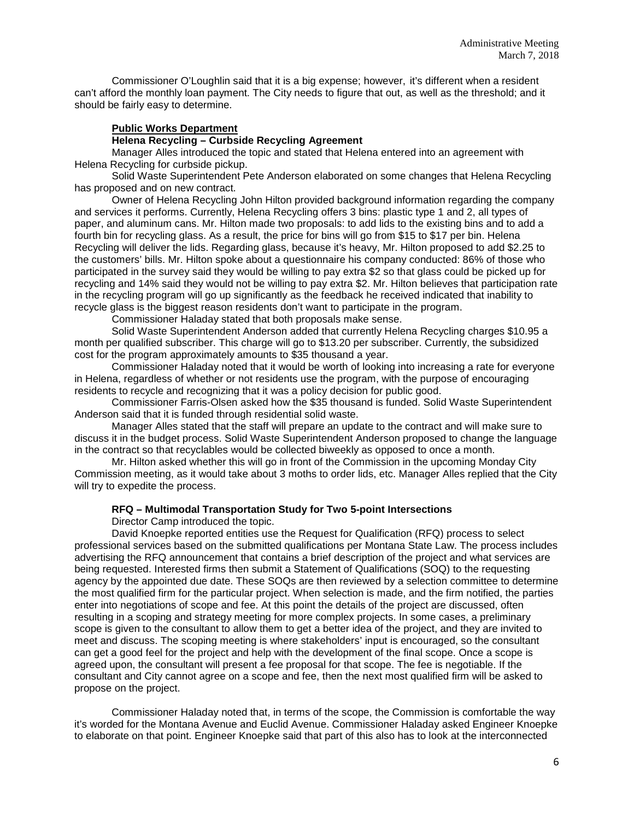Commissioner O'Loughlin said that it is a big expense; however, it's different when a resident can't afford the monthly loan payment. The City needs to figure that out, as well as the threshold; and it should be fairly easy to determine.

### **Public Works Department**

### **Helena Recycling – Curbside Recycling Agreement**

Manager Alles introduced the topic and stated that Helena entered into an agreement with Helena Recycling for curbside pickup.

Solid Waste Superintendent Pete Anderson elaborated on some changes that Helena Recycling has proposed and on new contract.

Owner of Helena Recycling John Hilton provided background information regarding the company and services it performs. Currently, Helena Recycling offers 3 bins: plastic type 1 and 2, all types of paper, and aluminum cans. Mr. Hilton made two proposals: to add lids to the existing bins and to add a fourth bin for recycling glass. As a result, the price for bins will go from \$15 to \$17 per bin. Helena Recycling will deliver the lids. Regarding glass, because it's heavy, Mr. Hilton proposed to add \$2.25 to the customers' bills. Mr. Hilton spoke about a questionnaire his company conducted: 86% of those who participated in the survey said they would be willing to pay extra \$2 so that glass could be picked up for recycling and 14% said they would not be willing to pay extra \$2. Mr. Hilton believes that participation rate in the recycling program will go up significantly as the feedback he received indicated that inability to recycle glass is the biggest reason residents don't want to participate in the program.

Commissioner Haladay stated that both proposals make sense.

Solid Waste Superintendent Anderson added that currently Helena Recycling charges \$10.95 a month per qualified subscriber. This charge will go to \$13.20 per subscriber. Currently, the subsidized cost for the program approximately amounts to \$35 thousand a year.

Commissioner Haladay noted that it would be worth of looking into increasing a rate for everyone in Helena, regardless of whether or not residents use the program, with the purpose of encouraging residents to recycle and recognizing that it was a policy decision for public good.

Commissioner Farris-Olsen asked how the \$35 thousand is funded. Solid Waste Superintendent Anderson said that it is funded through residential solid waste.

Manager Alles stated that the staff will prepare an update to the contract and will make sure to discuss it in the budget process. Solid Waste Superintendent Anderson proposed to change the language in the contract so that recyclables would be collected biweekly as opposed to once a month.

Mr. Hilton asked whether this will go in front of the Commission in the upcoming Monday City Commission meeting, as it would take about 3 moths to order lids, etc. Manager Alles replied that the City will try to expedite the process.

### **RFQ – Multimodal Transportation Study for Two 5-point Intersections**

Director Camp introduced the topic.

David Knoepke reported entities use the Request for Qualification (RFQ) process to select professional services based on the submitted qualifications per Montana State Law. The process includes advertising the RFQ announcement that contains a brief description of the project and what services are being requested. Interested firms then submit a Statement of Qualifications (SOQ) to the requesting agency by the appointed due date. These SOQs are then reviewed by a selection committee to determine the most qualified firm for the particular project. When selection is made, and the firm notified, the parties enter into negotiations of scope and fee. At this point the details of the project are discussed, often resulting in a scoping and strategy meeting for more complex projects. In some cases, a preliminary scope is given to the consultant to allow them to get a better idea of the project, and they are invited to meet and discuss. The scoping meeting is where stakeholders' input is encouraged, so the consultant can get a good feel for the project and help with the development of the final scope. Once a scope is agreed upon, the consultant will present a fee proposal for that scope. The fee is negotiable. If the consultant and City cannot agree on a scope and fee, then the next most qualified firm will be asked to propose on the project.

Commissioner Haladay noted that, in terms of the scope, the Commission is comfortable the way it's worded for the Montana Avenue and Euclid Avenue. Commissioner Haladay asked Engineer Knoepke to elaborate on that point. Engineer Knoepke said that part of this also has to look at the interconnected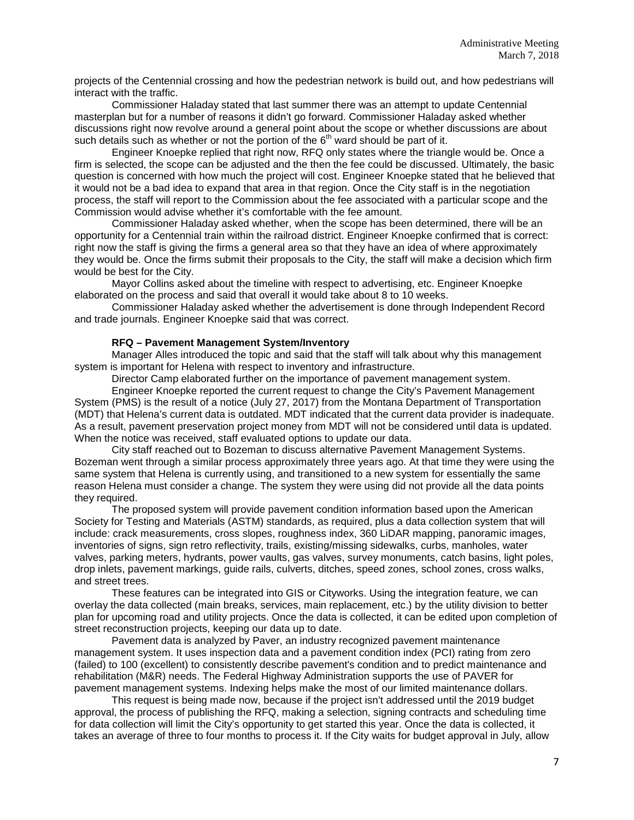projects of the Centennial crossing and how the pedestrian network is build out, and how pedestrians will interact with the traffic.

Commissioner Haladay stated that last summer there was an attempt to update Centennial masterplan but for a number of reasons it didn't go forward. Commissioner Haladay asked whether discussions right now revolve around a general point about the scope or whether discussions are about such details such as whether or not the portion of the  $6<sup>th</sup>$  ward should be part of it.

Engineer Knoepke replied that right now, RFQ only states where the triangle would be. Once a firm is selected, the scope can be adjusted and the then the fee could be discussed. Ultimately, the basic question is concerned with how much the project will cost. Engineer Knoepke stated that he believed that it would not be a bad idea to expand that area in that region. Once the City staff is in the negotiation process, the staff will report to the Commission about the fee associated with a particular scope and the Commission would advise whether it's comfortable with the fee amount.

Commissioner Haladay asked whether, when the scope has been determined, there will be an opportunity for a Centennial train within the railroad district. Engineer Knoepke confirmed that is correct: right now the staff is giving the firms a general area so that they have an idea of where approximately they would be. Once the firms submit their proposals to the City, the staff will make a decision which firm would be best for the City.

Mayor Collins asked about the timeline with respect to advertising, etc. Engineer Knoepke elaborated on the process and said that overall it would take about 8 to 10 weeks.

Commissioner Haladay asked whether the advertisement is done through Independent Record and trade journals. Engineer Knoepke said that was correct.

### **RFQ – Pavement Management System/Inventory**

Manager Alles introduced the topic and said that the staff will talk about why this management system is important for Helena with respect to inventory and infrastructure.

Director Camp elaborated further on the importance of pavement management system.

Engineer Knoepke reported the current request to change the City's Pavement Management System (PMS) is the result of a notice (July 27, 2017) from the Montana Department of Transportation (MDT) that Helena's current data is outdated. MDT indicated that the current data provider is inadequate. As a result, pavement preservation project money from MDT will not be considered until data is updated. When the notice was received, staff evaluated options to update our data.

City staff reached out to Bozeman to discuss alternative Pavement Management Systems. Bozeman went through a similar process approximately three years ago. At that time they were using the same system that Helena is currently using, and transitioned to a new system for essentially the same reason Helena must consider a change. The system they were using did not provide all the data points they required.

The proposed system will provide pavement condition information based upon the American Society for Testing and Materials (ASTM) standards, as required, plus a data collection system that will include: crack measurements, cross slopes, roughness index, 360 LiDAR mapping, panoramic images, inventories of signs, sign retro reflectivity, trails, existing/missing sidewalks, curbs, manholes, water valves, parking meters, hydrants, power vaults, gas valves, survey monuments, catch basins, light poles, drop inlets, pavement markings, guide rails, culverts, ditches, speed zones, school zones, cross walks, and street trees.

These features can be integrated into GIS or Cityworks. Using the integration feature, we can overlay the data collected (main breaks, services, main replacement, etc.) by the utility division to better plan for upcoming road and utility projects. Once the data is collected, it can be edited upon completion of street reconstruction projects, keeping our data up to date.

Pavement data is analyzed by Paver, an industry recognized pavement maintenance management system. It uses inspection data and a pavement condition index (PCI) rating from zero (failed) to 100 (excellent) to consistently describe pavement's condition and to predict maintenance and rehabilitation (M&R) needs. The Federal Highway Administration supports the use of PAVER for pavement management systems. Indexing helps make the most of our limited maintenance dollars.

This request is being made now, because if the project isn't addressed until the 2019 budget approval, the process of publishing the RFQ, making a selection, signing contracts and scheduling time for data collection will limit the City's opportunity to get started this year. Once the data is collected, it takes an average of three to four months to process it. If the City waits for budget approval in July, allow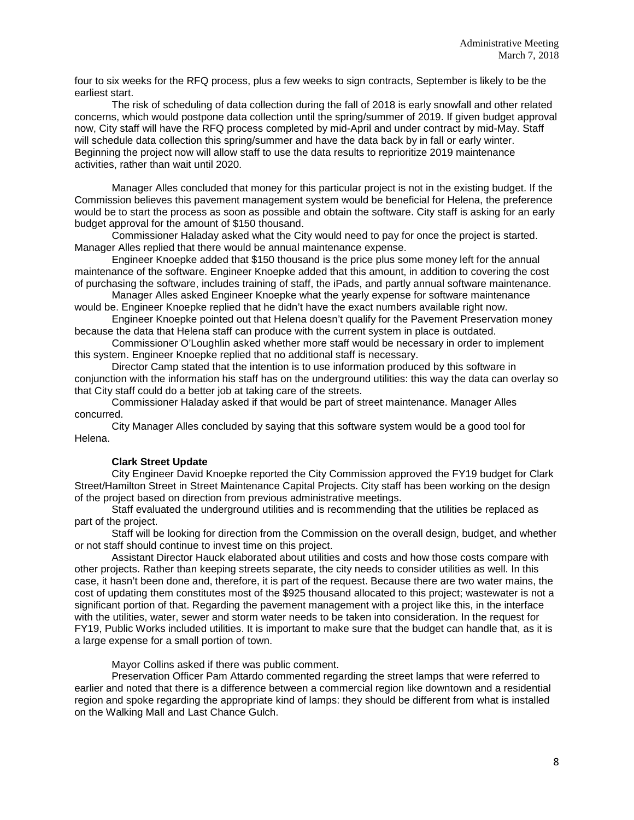four to six weeks for the RFQ process, plus a few weeks to sign contracts, September is likely to be the earliest start.

The risk of scheduling of data collection during the fall of 2018 is early snowfall and other related concerns, which would postpone data collection until the spring/summer of 2019. If given budget approval now, City staff will have the RFQ process completed by mid-April and under contract by mid-May. Staff will schedule data collection this spring/summer and have the data back by in fall or early winter. Beginning the project now will allow staff to use the data results to reprioritize 2019 maintenance activities, rather than wait until 2020.

Manager Alles concluded that money for this particular project is not in the existing budget. If the Commission believes this pavement management system would be beneficial for Helena, the preference would be to start the process as soon as possible and obtain the software. City staff is asking for an early budget approval for the amount of \$150 thousand.

Commissioner Haladay asked what the City would need to pay for once the project is started. Manager Alles replied that there would be annual maintenance expense.

Engineer Knoepke added that \$150 thousand is the price plus some money left for the annual maintenance of the software. Engineer Knoepke added that this amount, in addition to covering the cost of purchasing the software, includes training of staff, the iPads, and partly annual software maintenance.

Manager Alles asked Engineer Knoepke what the yearly expense for software maintenance would be. Engineer Knoepke replied that he didn't have the exact numbers available right now.

Engineer Knoepke pointed out that Helena doesn't qualify for the Pavement Preservation money because the data that Helena staff can produce with the current system in place is outdated.

Commissioner O'Loughlin asked whether more staff would be necessary in order to implement this system. Engineer Knoepke replied that no additional staff is necessary.

Director Camp stated that the intention is to use information produced by this software in conjunction with the information his staff has on the underground utilities: this way the data can overlay so that City staff could do a better job at taking care of the streets.

Commissioner Haladay asked if that would be part of street maintenance. Manager Alles concurred.

City Manager Alles concluded by saying that this software system would be a good tool for Helena.

### **Clark Street Update**

City Engineer David Knoepke reported the City Commission approved the FY19 budget for Clark Street/Hamilton Street in Street Maintenance Capital Projects. City staff has been working on the design of the project based on direction from previous administrative meetings.

Staff evaluated the underground utilities and is recommending that the utilities be replaced as part of the project.

Staff will be looking for direction from the Commission on the overall design, budget, and whether or not staff should continue to invest time on this project.

Assistant Director Hauck elaborated about utilities and costs and how those costs compare with other projects. Rather than keeping streets separate, the city needs to consider utilities as well. In this case, it hasn't been done and, therefore, it is part of the request. Because there are two water mains, the cost of updating them constitutes most of the \$925 thousand allocated to this project; wastewater is not a significant portion of that. Regarding the pavement management with a project like this, in the interface with the utilities, water, sewer and storm water needs to be taken into consideration. In the request for FY19, Public Works included utilities. It is important to make sure that the budget can handle that, as it is a large expense for a small portion of town.

Mayor Collins asked if there was public comment.

Preservation Officer Pam Attardo commented regarding the street lamps that were referred to earlier and noted that there is a difference between a commercial region like downtown and a residential region and spoke regarding the appropriate kind of lamps: they should be different from what is installed on the Walking Mall and Last Chance Gulch.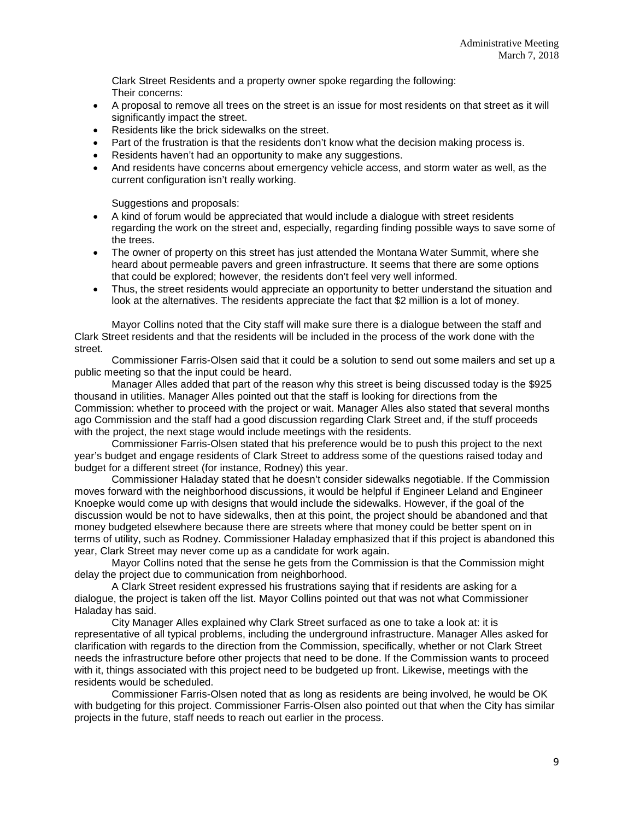Clark Street Residents and a property owner spoke regarding the following: Their concerns:

- A proposal to remove all trees on the street is an issue for most residents on that street as it will significantly impact the street.
- Residents like the brick sidewalks on the street.
- Part of the frustration is that the residents don't know what the decision making process is.
- Residents haven't had an opportunity to make any suggestions.
- And residents have concerns about emergency vehicle access, and storm water as well, as the current configuration isn't really working.

Suggestions and proposals:

- A kind of forum would be appreciated that would include a dialogue with street residents regarding the work on the street and, especially, regarding finding possible ways to save some of the trees.
- The owner of property on this street has just attended the Montana Water Summit, where she heard about permeable pavers and green infrastructure. It seems that there are some options that could be explored; however, the residents don't feel very well informed.
- Thus, the street residents would appreciate an opportunity to better understand the situation and look at the alternatives. The residents appreciate the fact that \$2 million is a lot of money.

Mayor Collins noted that the City staff will make sure there is a dialogue between the staff and Clark Street residents and that the residents will be included in the process of the work done with the street.

Commissioner Farris-Olsen said that it could be a solution to send out some mailers and set up a public meeting so that the input could be heard.

Manager Alles added that part of the reason why this street is being discussed today is the \$925 thousand in utilities. Manager Alles pointed out that the staff is looking for directions from the Commission: whether to proceed with the project or wait. Manager Alles also stated that several months ago Commission and the staff had a good discussion regarding Clark Street and, if the stuff proceeds with the project, the next stage would include meetings with the residents.

Commissioner Farris-Olsen stated that his preference would be to push this project to the next year's budget and engage residents of Clark Street to address some of the questions raised today and budget for a different street (for instance, Rodney) this year.

Commissioner Haladay stated that he doesn't consider sidewalks negotiable. If the Commission moves forward with the neighborhood discussions, it would be helpful if Engineer Leland and Engineer Knoepke would come up with designs that would include the sidewalks. However, if the goal of the discussion would be not to have sidewalks, then at this point, the project should be abandoned and that money budgeted elsewhere because there are streets where that money could be better spent on in terms of utility, such as Rodney. Commissioner Haladay emphasized that if this project is abandoned this year, Clark Street may never come up as a candidate for work again.

Mayor Collins noted that the sense he gets from the Commission is that the Commission might delay the project due to communication from neighborhood.

A Clark Street resident expressed his frustrations saying that if residents are asking for a dialogue, the project is taken off the list. Mayor Collins pointed out that was not what Commissioner Haladay has said.

City Manager Alles explained why Clark Street surfaced as one to take a look at: it is representative of all typical problems, including the underground infrastructure. Manager Alles asked for clarification with regards to the direction from the Commission, specifically, whether or not Clark Street needs the infrastructure before other projects that need to be done. If the Commission wants to proceed with it, things associated with this project need to be budgeted up front. Likewise, meetings with the residents would be scheduled.

Commissioner Farris-Olsen noted that as long as residents are being involved, he would be OK with budgeting for this project. Commissioner Farris-Olsen also pointed out that when the City has similar projects in the future, staff needs to reach out earlier in the process.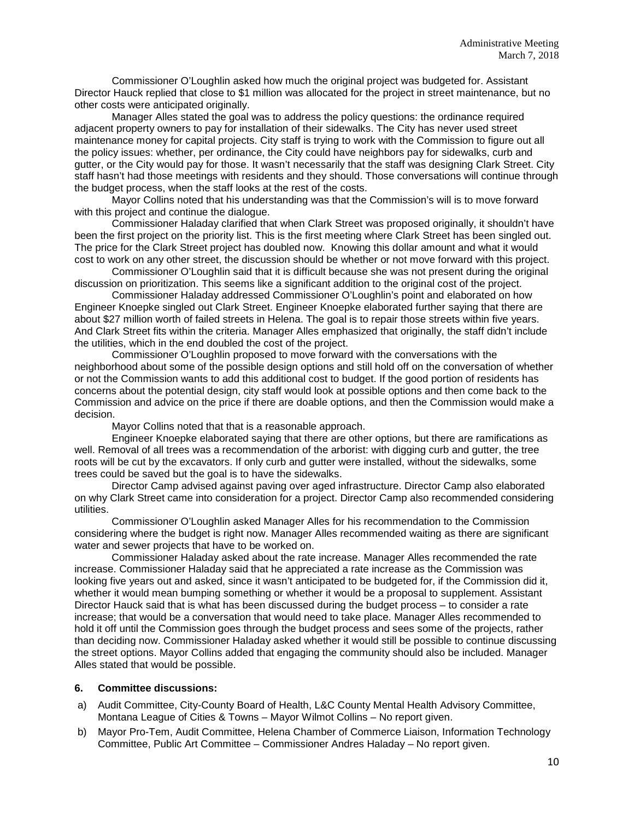Commissioner O'Loughlin asked how much the original project was budgeted for. Assistant Director Hauck replied that close to \$1 million was allocated for the project in street maintenance, but no other costs were anticipated originally.

Manager Alles stated the goal was to address the policy questions: the ordinance required adjacent property owners to pay for installation of their sidewalks. The City has never used street maintenance money for capital projects. City staff is trying to work with the Commission to figure out all the policy issues: whether, per ordinance, the City could have neighbors pay for sidewalks, curb and gutter, or the City would pay for those. It wasn't necessarily that the staff was designing Clark Street. City staff hasn't had those meetings with residents and they should. Those conversations will continue through the budget process, when the staff looks at the rest of the costs.

Mayor Collins noted that his understanding was that the Commission's will is to move forward with this project and continue the dialogue.

Commissioner Haladay clarified that when Clark Street was proposed originally, it shouldn't have been the first project on the priority list. This is the first meeting where Clark Street has been singled out. The price for the Clark Street project has doubled now. Knowing this dollar amount and what it would cost to work on any other street, the discussion should be whether or not move forward with this project.

Commissioner O'Loughlin said that it is difficult because she was not present during the original discussion on prioritization. This seems like a significant addition to the original cost of the project.

Commissioner Haladay addressed Commissioner O'Loughlin's point and elaborated on how Engineer Knoepke singled out Clark Street. Engineer Knoepke elaborated further saying that there are about \$27 million worth of failed streets in Helena. The goal is to repair those streets within five years. And Clark Street fits within the criteria. Manager Alles emphasized that originally, the staff didn't include the utilities, which in the end doubled the cost of the project.

Commissioner O'Loughlin proposed to move forward with the conversations with the neighborhood about some of the possible design options and still hold off on the conversation of whether or not the Commission wants to add this additional cost to budget. If the good portion of residents has concerns about the potential design, city staff would look at possible options and then come back to the Commission and advice on the price if there are doable options, and then the Commission would make a decision.

Mayor Collins noted that that is a reasonable approach.

Engineer Knoepke elaborated saying that there are other options, but there are ramifications as well. Removal of all trees was a recommendation of the arborist: with digging curb and gutter, the tree roots will be cut by the excavators. If only curb and gutter were installed, without the sidewalks, some trees could be saved but the goal is to have the sidewalks.

Director Camp advised against paving over aged infrastructure. Director Camp also elaborated on why Clark Street came into consideration for a project. Director Camp also recommended considering utilities.

Commissioner O'Loughlin asked Manager Alles for his recommendation to the Commission considering where the budget is right now. Manager Alles recommended waiting as there are significant water and sewer projects that have to be worked on.

Commissioner Haladay asked about the rate increase. Manager Alles recommended the rate increase. Commissioner Haladay said that he appreciated a rate increase as the Commission was looking five years out and asked, since it wasn't anticipated to be budgeted for, if the Commission did it, whether it would mean bumping something or whether it would be a proposal to supplement. Assistant Director Hauck said that is what has been discussed during the budget process – to consider a rate increase; that would be a conversation that would need to take place. Manager Alles recommended to hold it off until the Commission goes through the budget process and sees some of the projects, rather than deciding now. Commissioner Haladay asked whether it would still be possible to continue discussing the street options. Mayor Collins added that engaging the community should also be included. Manager Alles stated that would be possible.

#### **6. Committee discussions:**

- a) Audit Committee, City-County Board of Health, L&C County Mental Health Advisory Committee, Montana League of Cities & Towns – Mayor Wilmot Collins – No report given.
- b) Mayor Pro-Tem, Audit Committee, Helena Chamber of Commerce Liaison, Information Technology Committee, Public Art Committee – Commissioner Andres Haladay – No report given.